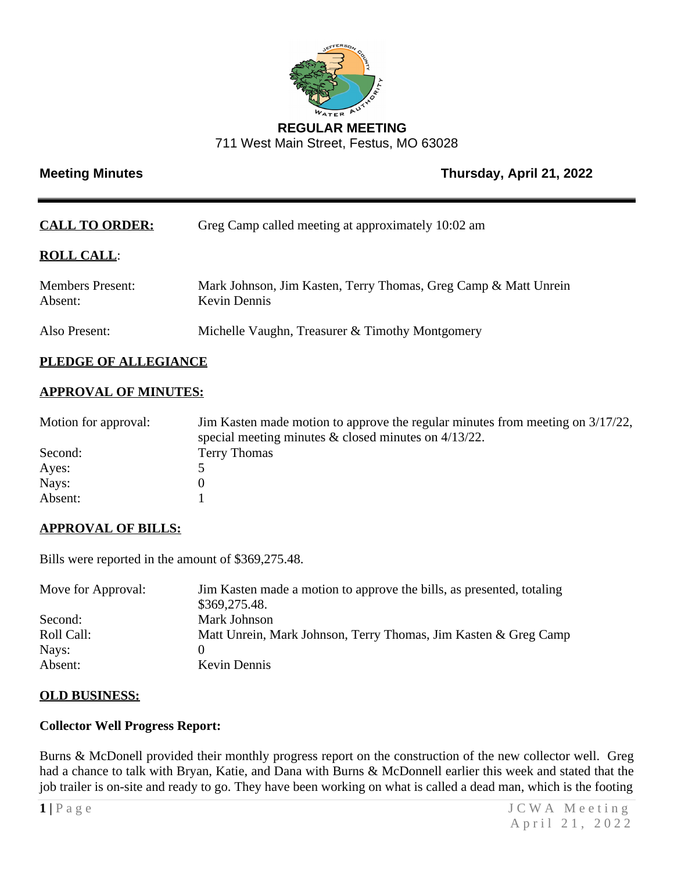

## **REGULAR MEETING** 711 West Main Street, Festus, MO 63028

# **Meeting Minutes Contract Contract Contract Contract Contract Contract Contract Contract Contract Contract Contract Contract Contract Contract Contract Contract Contract Contract Contract Contract Contract Contract Contrac**

| <b>CALL TO ORDER:</b>              | Greg Camp called meeting at approximately 10:02 am                                     |
|------------------------------------|----------------------------------------------------------------------------------------|
| <b>ROLL CALL:</b>                  |                                                                                        |
| <b>Members Present:</b><br>Absent: | Mark Johnson, Jim Kasten, Terry Thomas, Greg Camp & Matt Unrein<br><b>Kevin Dennis</b> |
| Also Present:                      | Michelle Vaughn, Treasurer & Timothy Montgomery                                        |

# **PLEDGE OF ALLEGIANCE**

## **APPROVAL OF MINUTES:**

| Motion for approval: | Jim Kasten made motion to approve the regular minutes from meeting on $3/17/22$ ,<br>special meeting minutes $\&$ closed minutes on 4/13/22. |
|----------------------|----------------------------------------------------------------------------------------------------------------------------------------------|
| Second:              | <b>Terry Thomas</b>                                                                                                                          |
| Ayes:                |                                                                                                                                              |
| Nays:                |                                                                                                                                              |
| Absent:              |                                                                                                                                              |

# **APPROVAL OF BILLS:**

Bills were reported in the amount of \$369,275.48.

| Move for Approval: | Jim Kasten made a motion to approve the bills, as presented, totaling<br>\$369,275.48. |
|--------------------|----------------------------------------------------------------------------------------|
| Second:            | Mark Johnson                                                                           |
| Roll Call:         | Matt Unrein, Mark Johnson, Terry Thomas, Jim Kasten & Greg Camp                        |
| Nays:              |                                                                                        |
| Absent:            | Kevin Dennis                                                                           |

## **OLD BUSINESS:**

## **Collector Well Progress Report:**

Burns & McDonell provided their monthly progress report on the construction of the new collector well. Greg had a chance to talk with Bryan, Katie, and Dana with Burns & McDonnell earlier this week and stated that the job trailer is on-site and ready to go. They have been working on what is called a dead man, which is the footing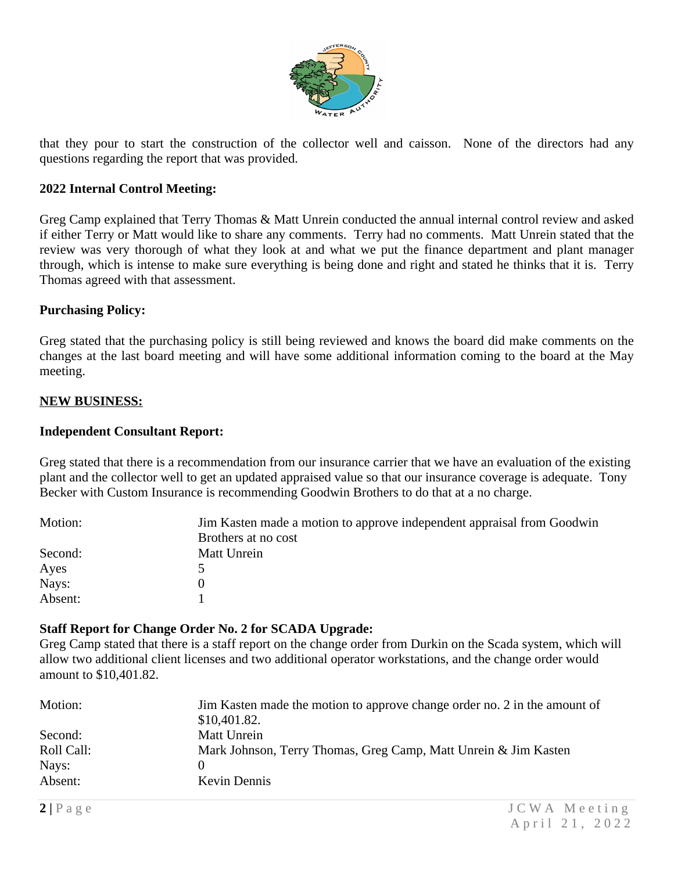

that they pour to start the construction of the collector well and caisson. None of the directors had any questions regarding the report that was provided.

#### **2022 Internal Control Meeting:**

Greg Camp explained that Terry Thomas & Matt Unrein conducted the annual internal control review and asked if either Terry or Matt would like to share any comments. Terry had no comments. Matt Unrein stated that the review was very thorough of what they look at and what we put the finance department and plant manager through, which is intense to make sure everything is being done and right and stated he thinks that it is. Terry Thomas agreed with that assessment.

#### **Purchasing Policy:**

Greg stated that the purchasing policy is still being reviewed and knows the board did make comments on the changes at the last board meeting and will have some additional information coming to the board at the May meeting.

#### **NEW BUSINESS:**

#### **Independent Consultant Report:**

Greg stated that there is a recommendation from our insurance carrier that we have an evaluation of the existing plant and the collector well to get an updated appraised value so that our insurance coverage is adequate. Tony Becker with Custom Insurance is recommending Goodwin Brothers to do that at a no charge.

| Motion: | Jim Kasten made a motion to approve independent appraisal from Goodwin |
|---------|------------------------------------------------------------------------|
|         | Brothers at no cost                                                    |
| Second: | Matt Unrein                                                            |
| Ayes    |                                                                        |
| Nays:   |                                                                        |
| Absent: |                                                                        |

#### **Staff Report for Change Order No. 2 for SCADA Upgrade:**

Greg Camp stated that there is a staff report on the change order from Durkin on the Scada system, which will allow two additional client licenses and two additional operator workstations, and the change order would amount to \$10,401.82.

| Motion:    | Jim Kasten made the motion to approve change order no. 2 in the amount of<br>\$10,401.82. |
|------------|-------------------------------------------------------------------------------------------|
| Second:    | Matt Unrein                                                                               |
| Roll Call: | Mark Johnson, Terry Thomas, Greg Camp, Matt Unrein & Jim Kasten                           |
| Nays:      |                                                                                           |
| Absent:    | Kevin Dennis                                                                              |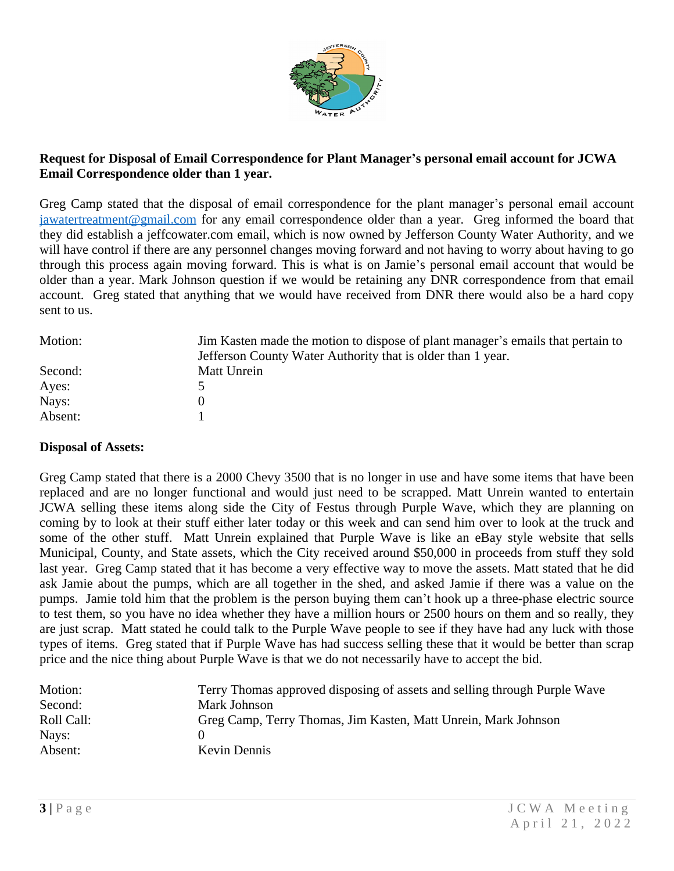

## **Request for Disposal of Email Correspondence for Plant Manager's personal email account for JCWA Email Correspondence older than 1 year.**

Greg Camp stated that the disposal of email correspondence for the plant manager's personal email account [jawatertreatment@gmail.com](mailto:jawatertreatment@gmail.com) for any email correspondence older than a year. Greg informed the board that they did establish a jeffcowater.com email, which is now owned by Jefferson County Water Authority, and we will have control if there are any personnel changes moving forward and not having to worry about having to go through this process again moving forward. This is what is on Jamie's personal email account that would be older than a year. Mark Johnson question if we would be retaining any DNR correspondence from that email account. Greg stated that anything that we would have received from DNR there would also be a hard copy sent to us.

| Motion: | Jim Kasten made the motion to dispose of plant manager's emails that pertain to |
|---------|---------------------------------------------------------------------------------|
|         | Jefferson County Water Authority that is older than 1 year.                     |
| Second: | Matt Unrein                                                                     |
| Ayes:   |                                                                                 |
| Nays:   |                                                                                 |
| Absent: |                                                                                 |

## **Disposal of Assets:**

Greg Camp stated that there is a 2000 Chevy 3500 that is no longer in use and have some items that have been replaced and are no longer functional and would just need to be scrapped. Matt Unrein wanted to entertain JCWA selling these items along side the City of Festus through Purple Wave, which they are planning on coming by to look at their stuff either later today or this week and can send him over to look at the truck and some of the other stuff. Matt Unrein explained that Purple Wave is like an eBay style website that sells Municipal, County, and State assets, which the City received around \$50,000 in proceeds from stuff they sold last year. Greg Camp stated that it has become a very effective way to move the assets. Matt stated that he did ask Jamie about the pumps, which are all together in the shed, and asked Jamie if there was a value on the pumps. Jamie told him that the problem is the person buying them can't hook up a three-phase electric source to test them, so you have no idea whether they have a million hours or 2500 hours on them and so really, they are just scrap. Matt stated he could talk to the Purple Wave people to see if they have had any luck with those types of items. Greg stated that if Purple Wave has had success selling these that it would be better than scrap price and the nice thing about Purple Wave is that we do not necessarily have to accept the bid.

| Motion:    | Terry Thomas approved disposing of assets and selling through Purple Wave |
|------------|---------------------------------------------------------------------------|
| Second:    | Mark Johnson                                                              |
| Roll Call: | Greg Camp, Terry Thomas, Jim Kasten, Matt Unrein, Mark Johnson            |
| Nays:      |                                                                           |
| Absent:    | Kevin Dennis                                                              |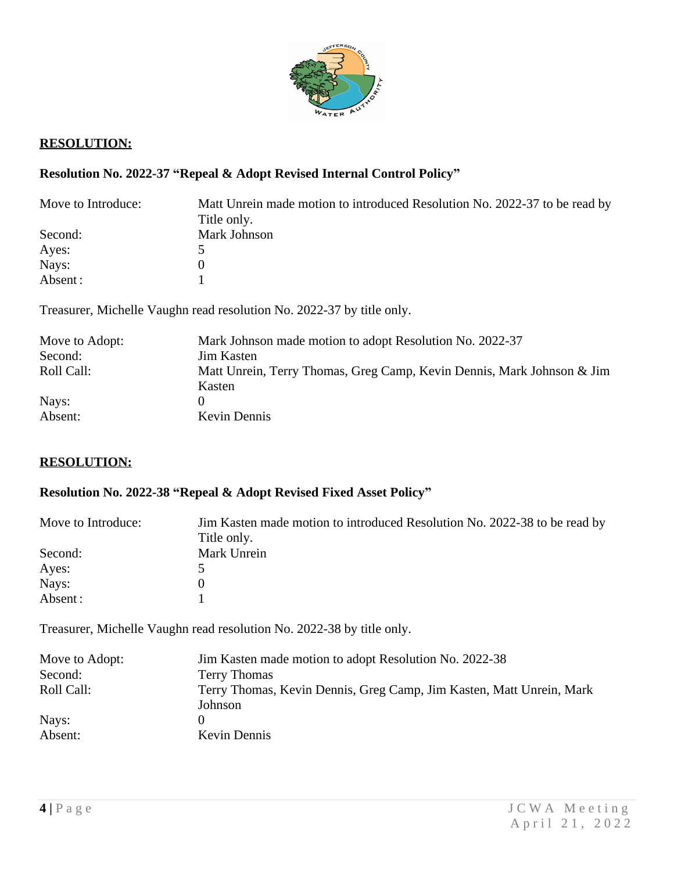

# **RESOLUTION:**

# **Resolution No. 2022-37 "Repeal & Adopt Revised Internal Control Policy"**

| Move to Introduce: | Matt Unrein made motion to introduced Resolution No. 2022-37 to be read by<br>Title only. |
|--------------------|-------------------------------------------------------------------------------------------|
| Second:            | Mark Johnson                                                                              |
| Ayes:              |                                                                                           |
| Nays:              |                                                                                           |
| Absent:            |                                                                                           |

Treasurer, Michelle Vaughn read resolution No. 2022-37 by title only.

| Move to Adopt: | Mark Johnson made motion to adopt Resolution No. 2022-37                         |
|----------------|----------------------------------------------------------------------------------|
| Second:        | <b>Jim Kasten</b>                                                                |
| Roll Call:     | Matt Unrein, Terry Thomas, Greg Camp, Kevin Dennis, Mark Johnson & Jim<br>Kasten |
| Nays:          |                                                                                  |
| Absent:        | Kevin Dennis                                                                     |

## **RESOLUTION:**

# **Resolution No. 2022-38 "Repeal & Adopt Revised Fixed Asset Policy"**

| Move to Introduce: | Jim Kasten made motion to introduced Resolution No. 2022-38 to be read by<br>Title only. |
|--------------------|------------------------------------------------------------------------------------------|
|                    |                                                                                          |
| Second:            | Mark Unrein                                                                              |
| Ayes:              |                                                                                          |
| Nays:              |                                                                                          |
| Absent:            |                                                                                          |

Treasurer, Michelle Vaughn read resolution No. 2022-38 by title only.

| Move to Adopt: | Jim Kasten made motion to adopt Resolution No. 2022-38                          |
|----------------|---------------------------------------------------------------------------------|
| Second:        | <b>Terry Thomas</b>                                                             |
| Roll Call:     | Terry Thomas, Kevin Dennis, Greg Camp, Jim Kasten, Matt Unrein, Mark<br>Johnson |
| Nays:          |                                                                                 |
| Absent:        | Kevin Dennis                                                                    |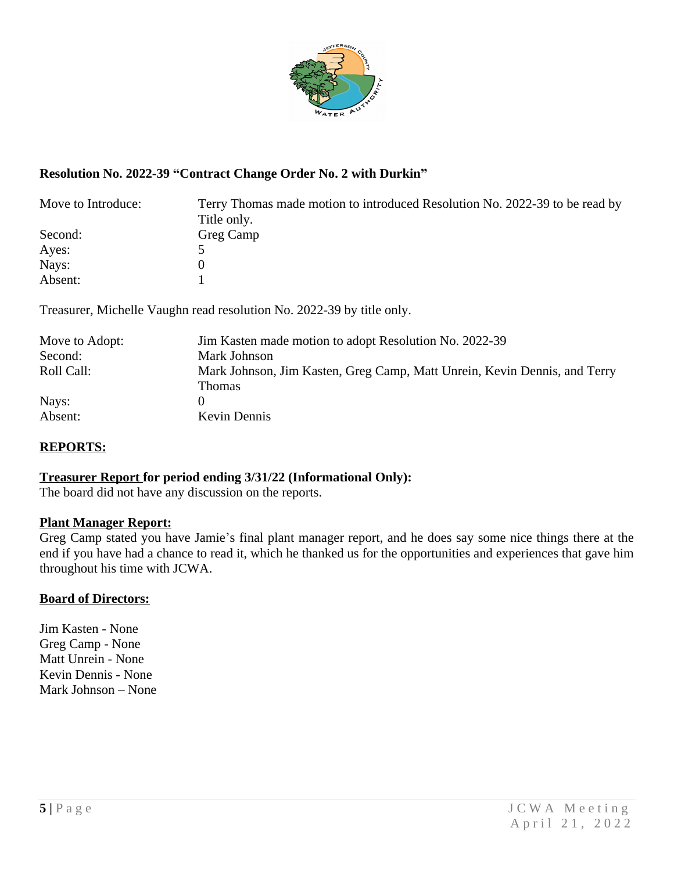

## **Resolution No. 2022-39 "Contract Change Order No. 2 with Durkin"**

| Move to Introduce: | Terry Thomas made motion to introduced Resolution No. 2022-39 to be read by<br>Title only. |
|--------------------|--------------------------------------------------------------------------------------------|
| Second:            | Greg Camp                                                                                  |
| Ayes:              |                                                                                            |
| Nays:              |                                                                                            |
| Absent:            |                                                                                            |

Treasurer, Michelle Vaughn read resolution No. 2022-39 by title only.

| Jim Kasten made motion to adopt Resolution No. 2022-39                              |
|-------------------------------------------------------------------------------------|
| Mark Johnson                                                                        |
| Mark Johnson, Jim Kasten, Greg Camp, Matt Unrein, Kevin Dennis, and Terry<br>Thomas |
|                                                                                     |
| <b>Kevin Dennis</b>                                                                 |
|                                                                                     |

## **REPORTS:**

## **Treasurer Report for period ending 3/31/22 (Informational Only):**

The board did not have any discussion on the reports.

## **Plant Manager Report:**

Greg Camp stated you have Jamie's final plant manager report, and he does say some nice things there at the end if you have had a chance to read it, which he thanked us for the opportunities and experiences that gave him throughout his time with JCWA.

#### **Board of Directors:**

Jim Kasten - None Greg Camp - None Matt Unrein - None Kevin Dennis - None Mark Johnson – None